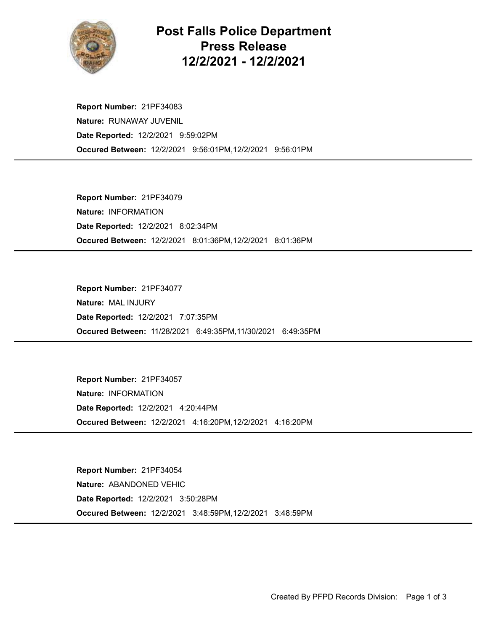

## Post Falls Police Department Press Release 12/2/2021 - 12/2/2021

Occured Between: 12/2/2021 9:56:01PM,12/2/2021 9:56:01PM Report Number: 21PF34083 Nature: RUNAWAY JUVENIL Date Reported: 12/2/2021 9:59:02PM

Occured Between: 12/2/2021 8:01:36PM,12/2/2021 8:01:36PM Report Number: 21PF34079 Nature: INFORMATION Date Reported: 12/2/2021 8:02:34PM

Occured Between: 11/28/2021 6:49:35PM,11/30/2021 6:49:35PM Report Number: 21PF34077 Nature: MAL INJURY Date Reported: 12/2/2021 7:07:35PM

Occured Between: 12/2/2021 4:16:20PM,12/2/2021 4:16:20PM Report Number: 21PF34057 Nature: INFORMATION Date Reported: 12/2/2021 4:20:44PM

Occured Between: 12/2/2021 3:48:59PM,12/2/2021 3:48:59PM Report Number: 21PF34054 Nature: ABANDONED VEHIC Date Reported: 12/2/2021 3:50:28PM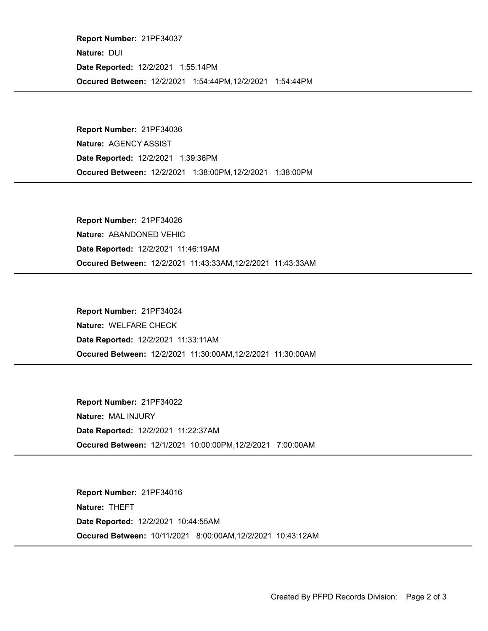Occured Between: 12/2/2021 1:54:44PM,12/2/2021 1:54:44PM Report Number: 21PF34037 Nature: DUI Date Reported: 12/2/2021 1:55:14PM

Occured Between: 12/2/2021 1:38:00PM,12/2/2021 1:38:00PM Report Number: 21PF34036 Nature: AGENCY ASSIST Date Reported: 12/2/2021 1:39:36PM

Occured Between: 12/2/2021 11:43:33AM,12/2/2021 11:43:33AM Report Number: 21PF34026 Nature: ABANDONED VEHIC Date Reported: 12/2/2021 11:46:19AM

Occured Between: 12/2/2021 11:30:00AM,12/2/2021 11:30:00AM Report Number: 21PF34024 Nature: WELFARE CHECK Date Reported: 12/2/2021 11:33:11AM

Occured Between: 12/1/2021 10:00:00PM,12/2/2021 7:00:00AM Report Number: 21PF34022 Nature: MAL INJURY Date Reported: 12/2/2021 11:22:37AM

Occured Between: 10/11/2021 8:00:00AM,12/2/2021 10:43:12AM Report Number: 21PF34016 Nature: THEFT Date Reported: 12/2/2021 10:44:55AM